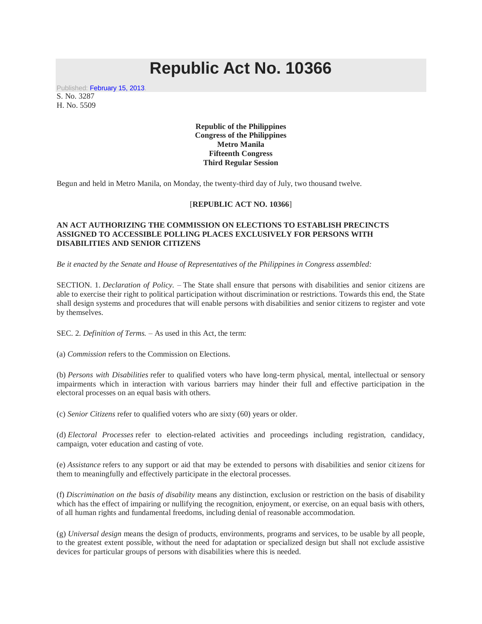## **Republic Act No. 10366**

Published: [February 15, 2013.](http://www.gov.ph/2013/02/15/republic-act-no-10366/) S. No. 3287 H. No. 5509

> **Republic of the Philippines Congress of the Philippines Metro Manila Fifteenth Congress Third Regular Session**

Begun and held in Metro Manila, on Monday, the twenty-third day of July, two thousand twelve.

## [**REPUBLIC ACT NO. 10366**]

## **AN ACT AUTHORIZING THE COMMISSION ON ELECTIONS TO ESTABLISH PRECINCTS ASSIGNED TO ACCESSIBLE POLLING PLACES EXCLUSIVELY FOR PERSONS WITH DISABILITIES AND SENIOR CITIZENS**

*Be it enacted by the Senate and House of Representatives of the Philippines in Congress assembled:*

SECTION. 1. *Declaration of Policy. –* The State shall ensure that persons with disabilities and senior citizens are able to exercise their right to political participation without discrimination or restrictions. Towards this end, the State shall design systems and procedures that will enable persons with disabilities and senior citizens to register and vote by themselves.

SEC. 2. *Definition of Terms. –* As used in this Act, the term:

(a) *Commission* refers to the Commission on Elections.

(b) *Persons with Disabilities* refer to qualified voters who have long-term physical, mental, intellectual or sensory impairments which in interaction with various barriers may hinder their full and effective participation in the electoral processes on an equal basis with others.

(c) *Senior Citizens* refer to qualified voters who are sixty (60) years or older.

(d) *Electoral Processes* refer to election-related activities and proceedings including registration, candidacy, campaign, voter education and casting of vote.

(e) *Assistance* refers to any support or aid that may be extended to persons with disabilities and senior citizens for them to meaningfully and effectively participate in the electoral processes.

(f) *Discrimination on the basis of disability* means any distinction, exclusion or restriction on the basis of disability which has the effect of impairing or nullifying the recognition, enjoyment, or exercise, on an equal basis with others, of all human rights and fundamental freedoms, including denial of reasonable accommodation.

(g) *Universal design* means the design of products, environments, programs and services, to be usable by all people, to the greatest extent possible, without the need for adaptation or specialized design but shall not exclude assistive devices for particular groups of persons with disabilities where this is needed.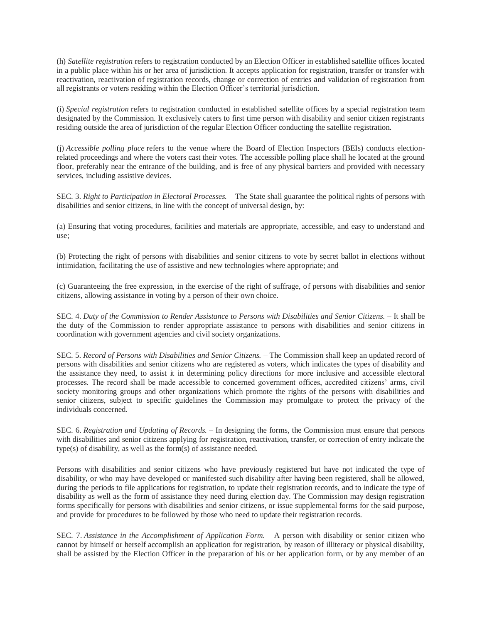(h) *Satellite registration* refers to registration conducted by an Election Officer in established satellite offices located in a public place within his or her area of jurisdiction. It accepts application for registration, transfer or transfer with reactivation, reactivation of registration records, change or correction of entries and validation of registration from all registrants or voters residing within the Election Officer's territorial jurisdiction.

(i) *Special registration* refers to registration conducted in established satellite offices by a special registration team designated by the Commission. It exclusively caters to first time person with disability and senior citizen registrants residing outside the area of jurisdiction of the regular Election Officer conducting the satellite registration.

(j) *Accessible polling place* refers to the venue where the Board of Election Inspectors (BEIs) conducts electionrelated proceedings and where the voters cast their votes. The accessible polling place shall he located at the ground floor, preferably near the entrance of the building, and is free of any physical barriers and provided with necessary services, including assistive devices.

SEC. 3. *Right to Participation in Electoral Processes. –* The State shall guarantee the political rights of persons with disabilities and senior citizens, in line with the concept of universal design, by:

(a) Ensuring that voting procedures, facilities and materials are appropriate, accessible, and easy to understand and use;

(b) Protecting the right of persons with disabilities and senior citizens to vote by secret ballot in elections without intimidation, facilitating the use of assistive and new technologies where appropriate; and

(c) Guaranteeing the free expression, in the exercise of the right of suffrage, of persons with disabilities and senior citizens, allowing assistance in voting by a person of their own choice.

SEC. 4. *Duty of the Commission to Render Assistance to Persons with Disabilities and Senior Citizens.* – It shall be the duty of the Commission to render appropriate assistance to persons with disabilities and senior citizens in coordination with government agencies and civil society organizations.

SEC. 5. *Record of Persons with Disabilities and Senior Citizens. –* The Commission shall keep an updated record of persons with disabilities and senior citizens who are registered as voters, which indicates the types of disability and the assistance they need, to assist it in determining policy directions for more inclusive and accessible electoral processes. The record shall be made accessible to concerned government offices, accredited citizens' arms, civil society monitoring groups and other organizations which promote the rights of the persons with disabilities and senior citizens, subject to specific guidelines the Commission may promulgate to protect the privacy of the individuals concerned.

SEC. 6. *Registration and Updating of Records.* – In designing the forms, the Commission must ensure that persons with disabilities and senior citizens applying for registration, reactivation, transfer, or correction of entry indicate the type(s) of disability, as well as the form(s) of assistance needed.

Persons with disabilities and senior citizens who have previously registered but have not indicated the type of disability, or who may have developed or manifested such disability after having been registered, shall be allowed, during the periods to file applications for registration, to update their registration records, and to indicate the type of disability as well as the form of assistance they need during election day. The Commission may design registration forms specifically for persons with disabilities and senior citizens, or issue supplemental forms for the said purpose, and provide for procedures to be followed by those who need to update their registration records.

SEC. 7. *Assistance in the Accomplishment of Application Form.* – A person with disability or senior citizen who cannot by himself or herself accomplish an application for registration, by reason of illiteracy or physical disability, shall be assisted by the Election Officer in the preparation of his or her application form, or by any member of an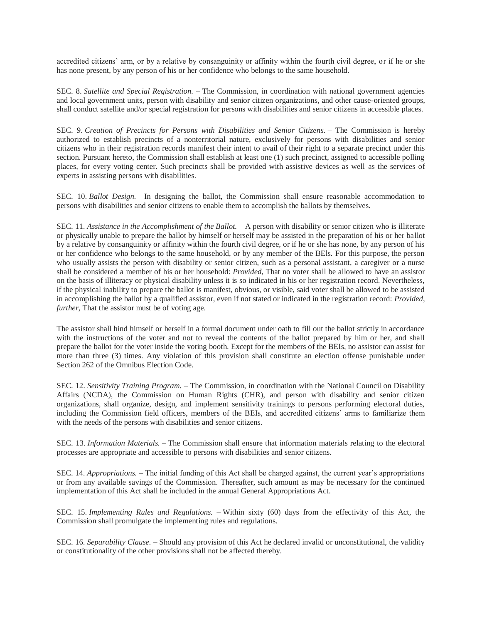accredited citizens' arm, or by a relative by consanguinity or affinity within the fourth civil degree, or if he or she has none present, by any person of his or her confidence who belongs to the same household.

SEC. 8. *Satellite and Special Registration. –* The Commission, in coordination with national government agencies and local government units, person with disability and senior citizen organizations, and other cause-oriented groups, shall conduct satellite and/or special registration for persons with disabilities and senior citizens in accessible places.

SEC. 9. *Creation of Precincts for Persons with Disabilities and Senior Citizens.* – The Commission is hereby authorized to establish precincts of a nonterritorial nature, exclusively for persons with disabilities and senior citizens who in their registration records manifest their intent to avail of their right to a separate precinct under this section. Pursuant hereto, the Commission shall establish at least one (1) such precinct, assigned to accessible polling places, for every voting center. Such precincts shall be provided with assistive devices as well as the services of experts in assisting persons with disabilities.

SEC. 10. *Ballot Design. –* In designing the ballot, the Commission shall ensure reasonable accommodation to persons with disabilities and senior citizens to enable them to accomplish the ballots by themselves.

SEC. 11. *Assistance in the Accomplishment of the Ballot.* – A person with disability or senior citizen who is illiterate or physically unable to prepare the ballot by himself or herself may be assisted in the preparation of his or her ballot by a relative by consanguinity or affinity within the fourth civil degree, or if he or she has none, by any person of his or her confidence who belongs to the same household, or by any member of the BEls. For this purpose, the person who usually assists the person with disability or senior citizen, such as a personal assistant, a caregiver or a nurse shall be considered a member of his or her household: *Provided,* That no voter shall be allowed to have an assistor on the basis of illiteracy or physical disability unless it is so indicated in his or her registration record. Nevertheless, if the physical inability to prepare the ballot is manifest, obvious, or visible, said voter shall be allowed to be assisted in accomplishing the ballot by a qualified assistor, even if not stated or indicated in the registration record: *Provided, further,* That the assistor must be of voting age.

The assistor shall hind himself or herself in a formal document under oath to fill out the ballot strictly in accordance with the instructions of the voter and not to reveal the contents of the ballot prepared by him or her, and shall prepare the ballot for the voter inside the voting booth. Except for the members of the BEIs, no assistor can assist for more than three (3) times. Any violation of this provision shall constitute an election offense punishable under Section 262 of the Omnibus Election Code.

SEC. 12. *Sensitivity Training Program.* – The Commission, in coordination with the National Council on Disability Affairs (NCDA), the Commission on Human Rights (CHR), and person with disability and senior citizen organizations, shall organize, design, and implement sensitivity trainings to persons performing electoral duties, including the Commission field officers, members of the BEIs, and accredited citizens' arms to familiarize them with the needs of the persons with disabilities and senior citizens.

SEC. 13. *Information Materials. –* The Commission shall ensure that information materials relating to the electoral processes are appropriate and accessible to persons with disabilities and senior citizens.

SEC. 14. *Appropriations.* – The initial funding of this Act shall be charged against, the current year's appropriations or from any available savings of the Commission. Thereafter, such amount as may be necessary for the continued implementation of this Act shall he included in the annual General Appropriations Act.

SEC. 15. *Implementing Rules and Regulations. –* Within sixty (60) days from the effectivity of this Act, the Commission shall promulgate the implementing rules and regulations.

SEC. 16. *Separability Clause. –* Should any provision of this Act he declared invalid or unconstitutional, the validity or constitutionality of the other provisions shall not be affected thereby.